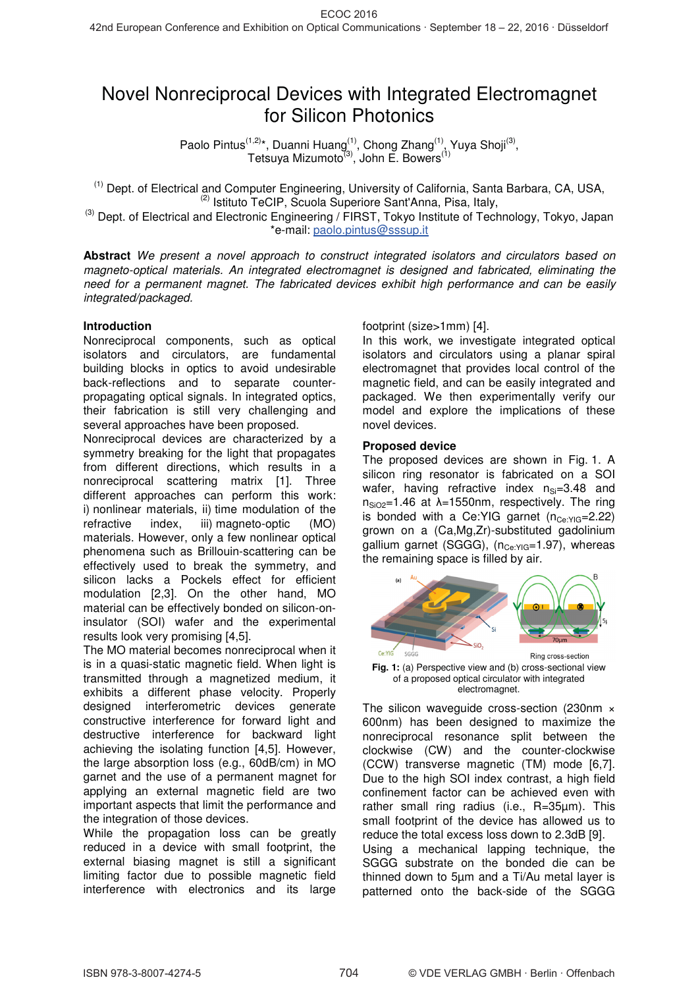# Novel Nonreciprocal Devices with Integrated Electromagnet for Silicon Photonics

Paolo Pintus<sup>(1,2)\*</sup>, Duanni Huang<sup>(1)</sup>, Chong Zhang<sup>(1)</sup>, Yuya Shoji<sup>(3)</sup>, Tetsuya Mizumoto<sup>(3)</sup>, John E. Bowers<sup>(1)</sup>

(1) Dept. of Electrical and Computer Engineering, University of California, Santa Barbara, CA, USA,  $(2)$  Istituto TeCIP, Scuola Superiore Sant'Anna, Pisa, Italy,

 $^{(3)}$  Dept. of Electrical and Electronic Engineering / FIRST, Tokyo Institute of Technology, Tokyo, Japan \*e-mail: paolo.pintus@sssup.it

**Abstract** We present a novel approach to construct integrated isolators and circulators based on magneto-optical materials. An integrated electromagnet is designed and fabricated, eliminating the need for a permanent magnet. The fabricated devices exhibit high performance and can be easily integrated/packaged.

## **Introduction**

Nonreciprocal components, such as optical isolators and circulators, are fundamental building blocks in optics to avoid undesirable back-reflections and to separate counterpropagating optical signals. In integrated optics, their fabrication is still very challenging and several approaches have been proposed.

Nonreciprocal devices are characterized by a symmetry breaking for the light that propagates from different directions, which results in a nonreciprocal scattering matrix [1]. Three different approaches can perform this work: i) nonlinear materials, ii) time modulation of the refractive index, iii) magneto-optic (MO) materials. However, only a few nonlinear optical phenomena such as Brillouin-scattering can be effectively used to break the symmetry, and silicon lacks a Pockels effect for efficient modulation [2,3]. On the other hand, MO material can be effectively bonded on silicon-oninsulator (SOI) wafer and the experimental results look very promising [4,5].

The MO material becomes nonreciprocal when it is in a quasi-static magnetic field. When light is transmitted through a magnetized medium, it exhibits a different phase velocity. Properly designed interferometric devices generate constructive interference for forward light and destructive interference for backward light achieving the isolating function [4,5]. However, the large absorption loss (e.g., 60dB/cm) in MO garnet and the use of a permanent magnet for applying an external magnetic field are two important aspects that limit the performance and the integration of those devices.

While the propagation loss can be greatly reduced in a device with small footprint, the external biasing magnet is still a significant limiting factor due to possible magnetic field interference with electronics and its large

## footprint (size>1mm) [4].

In this work, we investigate integrated optical isolators and circulators using a planar spiral electromagnet that provides local control of the magnetic field, and can be easily integrated and packaged. We then experimentally verify our model and explore the implications of these novel devices.

#### **Proposed device**

The proposed devices are shown in Fig. 1. A silicon ring resonator is fabricated on a SOI wafer, having refractive index  $n_{Si}=3.48$  and  $n_{SiO2}=1.46$  at  $\lambda=1550$ nm, respectively. The ring is bonded with a Ce: YIG garnet  $(n_{Ce: YIG} = 2.22)$ grown on a (Ca,Mg,Zr)-substituted gadolinium gallium garnet (SGGG),  $(n_{Ce:YIG}=1.97)$ , whereas the remaining space is filled by air.



**Fig. 1:** (a) Perspective view and (b) cross-sectional view of a proposed optical circulator with integrated electromagnet.

The silicon waveguide cross-section (230nm × 600nm) has been designed to maximize the nonreciprocal resonance split between the clockwise (CW) and the counter-clockwise (CCW) transverse magnetic (TM) mode [6,7]. Due to the high SOI index contrast, a high field confinement factor can be achieved even with rather small ring radius (i.e., R=35µm). This small footprint of the device has allowed us to reduce the total excess loss down to 2.3dB [9]. Using a mechanical lapping technique, the SGGG substrate on the bonded die can be thinned down to 5µm and a Ti/Au metal layer is patterned onto the back-side of the SGGG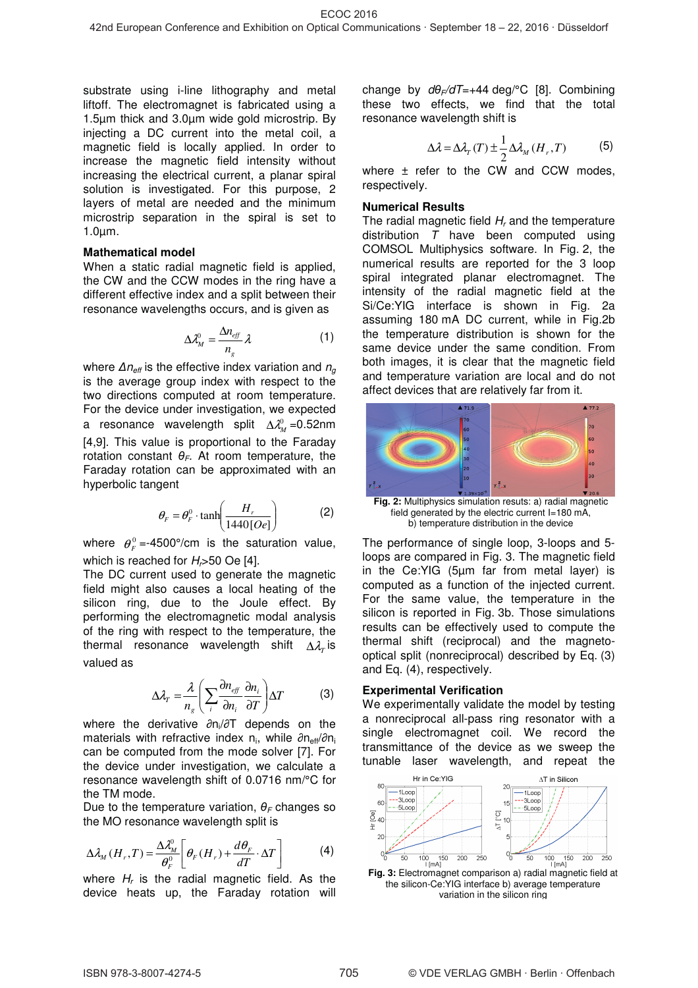substrate using i-line lithography and metal liftoff. The electromagnet is fabricated using a 1.5µm thick and 3.0µm wide gold microstrip. By injecting a DC current into the metal coil, a magnetic field is locally applied. In order to increase the magnetic field intensity without increasing the electrical current, a planar spiral solution is investigated. For this purpose, 2 layers of metal are needed and the minimum microstrip separation in the spiral is set to 1.0µm.

#### **Mathematical model**

When a static radial magnetic field is applied, the CW and the CCW modes in the ring have a different effective index and a split between their resonance wavelengths occurs, and is given as

$$
\Delta \lambda_M^0 = \frac{\Delta n_{\text{eff}}}{n_g} \lambda \tag{1}
$$

where  $\Delta n_{\text{eff}}$  is the effective index variation and  $n_{\text{g}}$ is the average group index with respect to the two directions computed at room temperature. For the device under investigation, we expected a resonance wavelength split  $\Delta \lambda_M^0$  =0.52nm [4,9]. This value is proportional to the Faraday rotation constant  $\theta_F$ . At room temperature, the Faraday rotation can be approximated with an hyperbolic tangent

$$
\theta_F = \theta_F^0 \cdot \tanh\left(\frac{H_r}{1440[Oe]}\right) \tag{2}
$$

where  $\theta_F^0 = -4500^\circ/\text{cm}$  is the saturation value, which is reached for  $H<sub>r</sub>$  > 50 Oe [4].

The DC current used to generate the magnetic field might also causes a local heating of the silicon ring, due to the Joule effect. By performing the electromagnetic modal analysis of the ring with respect to the temperature, the thermal resonance wavelength shift ∆λ<sub>*T*</sub> is valued as

$$
\Delta \lambda_{T} = \frac{\lambda}{n_{s}} \left( \sum_{i} \frac{\partial n_{\text{eff}}}{\partial n_{i}} \frac{\partial n_{i}}{\partial T} \right) \Delta T \tag{3}
$$

where the derivative  $\partial n_i/\partial T$  depends on the materials with refractive index  $n_i$ , while  $\partial n_{\text{eff}}/\partial n_i$ can be computed from the mode solver [7]. For the device under investigation, we calculate a resonance wavelength shift of 0.0716 nm/°C for the TM mode.

Due to the temperature variation,  $\theta_F$  changes so the MO resonance wavelength split is

$$
\Delta \lambda_M(H_r, T) = \frac{\Delta \lambda_M^0}{\theta_F^0} \left[ \theta_F(H_r) + \frac{d\theta_F}{dT} \cdot \Delta T \right]
$$
 (4)

where  $H_r$  is the radial magnetic field. As the device heats up, the Faraday rotation will change by  $d\theta_F/dT=+44$  deg/°C [8]. Combining these two effects, we find that the total resonance wavelength shift is

$$
\Delta \lambda = \Delta \lambda_T(T) \pm \frac{1}{2} \Delta \lambda_M(H_r, T) \tag{5}
$$

where  $\pm$  refer to the CW and CCW modes, respectively.

#### **Numerical Results**

The radial magnetic field  $H_r$  and the temperature distribution  $T$  have been computed using COMSOL Multiphysics software. In Fig. 2, the numerical results are reported for the 3 loop spiral integrated planar electromagnet. The intensity of the radial magnetic field at the Si/Ce:YIG interface is shown in Fig. 2a assuming 180 mA DC current, while in Fig.2b the temperature distribution is shown for the same device under the same condition. From both images, it is clear that the magnetic field and temperature variation are local and do not affect devices that are relatively far from it.



field generated by the electric current I=180 mA, b) temperature distribution in the device

The performance of single loop, 3-loops and 5 loops are compared in Fig. 3. The magnetic field in the Ce:YIG (5µm far from metal layer) is computed as a function of the injected current. For the same value, the temperature in the silicon is reported in Fig. 3b. Those simulations results can be effectively used to compute the thermal shift (reciprocal) and the magnetooptical split (nonreciprocal) described by Eq. (3) and Eq. (4), respectively.

## **Experimental Verification**

We experimentally validate the model by testing a nonreciprocal all-pass ring resonator with a single electromagnet coil. We record the transmittance of the device as we sweep the tunable laser wavelength, and repeat the